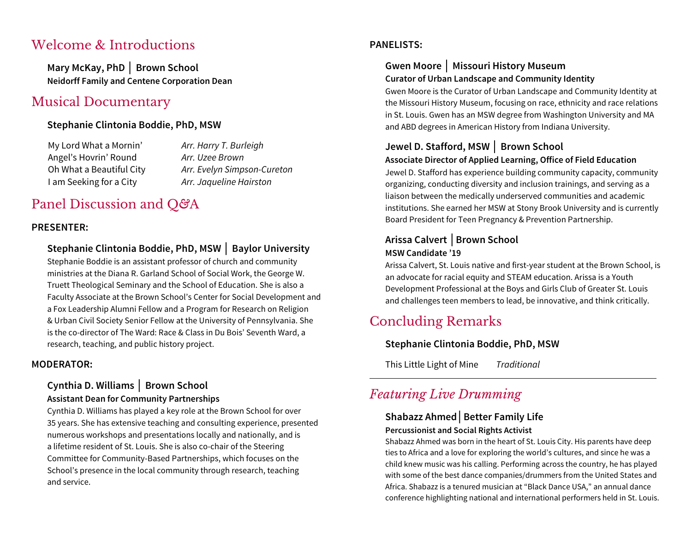## Welcome & Introductions

**Mary McKay, PhD** │ **Brown School Neidorff Family and Centene Corporation Dean**

## Musical Documentary

#### **Stephanie Clintonia Boddie, PhD, MSW**

My Lord What a Mornin' *Arr. Harry T. Burleigh* Angel's Hovrin' Round *Arr. Uzee Brown* I am Seeking for a City *Arr. Jaqueline Hairston*

Oh What a Beautiful City *Arr. Evelyn Simpson-Cureton*

# Panel Discussion and Q*&*A

#### **PRESENTER:**

#### **Stephanie Clintonia Boddie, PhD, MSW** │ **Baylor University**

Stephanie Boddie is an assistant professor of church and community ministries at the Diana R. Garland School of Social Work, the George W. Truett Theological Seminary and the School of Education. She is also a Faculty Associate at the Brown School's Center for Social Development and a Fox Leadership Alumni Fellow and a Program for Research on Religion & Urban Civil Society Senior Fellow at the University of Pennsylvania. She is the co-director of The Ward: Race & Class in Du Bois' Seventh Ward, a research, teaching, and public history project.

#### **MODERATOR:**

#### **Cynthia D. Williams** │ **Brown School**

#### **Assistant Dean for Community Partnerships**

Cynthia D. Williams has played a key role at the Brown School for over 35 years. She has extensive teaching and consulting experience, presented numerous workshops and presentations locally and nationally, and is a lifetime resident of St. Louis. She is also co-chair of the Steering Committee for Community-Based Partnerships, which focuses on the School's presence in the local community through research, teaching and service.

#### **PANELISTS:**

#### **Gwen Moore** │ **Missouri History Museum Curator of Urban Landscape and Community Identity**

Gwen Moore is the Curator of Urban Landscape and Community Identity at the Missouri History Museum, focusing on race, ethnicity and race relations in St. Louis. Gwen has an MSW degree from Washington University and MA and ABD degrees in American History from Indiana University.

### **Jewel D. Stafford, MSW** │ **Brown School**

#### **Associate Director of Applied Learning, Office of Field Education**

Jewel D. Stafford has experience building community capacity, community organizing, conducting diversity and inclusion trainings, and serving as a liaison between the medically underserved communities and academic institutions. She earned her MSW at Stony Brook University and is currently Board President for Teen Pregnancy & Prevention Partnership.

#### **Arissa Calvert** │**Brown School MSW Candidate '19**

Arissa Calvert, St. Louis native and first-year student at the Brown School, is an advocate for racial equity and STEAM education. Arissa is a Youth Development Professional at the Boys and Girls Club of Greater St. Louis and challenges teen members to lead, be innovative, and think critically.

# Concluding Remarks

#### **Stephanie Clintonia Boddie, PhD, MSW**

This Little Light of Mine *Traditional*

## *Featuring Live Drumming*

#### **Shabazz Ahmed**│**Better Family Life Percussionist and Social Rights Activist**

Shabazz Ahmed was born in the heart of St. Louis City. His parents have deep ties to Africa and a love for exploring the world's cultures, and since he was a child knew music was his calling. Performing across the country, he has played with some of the best dance companies/drummers from the United States and Africa. Shabazz is a tenured musician at "Black Dance USA," an annual dance conference highlighting national and international performers held in St. Louis.